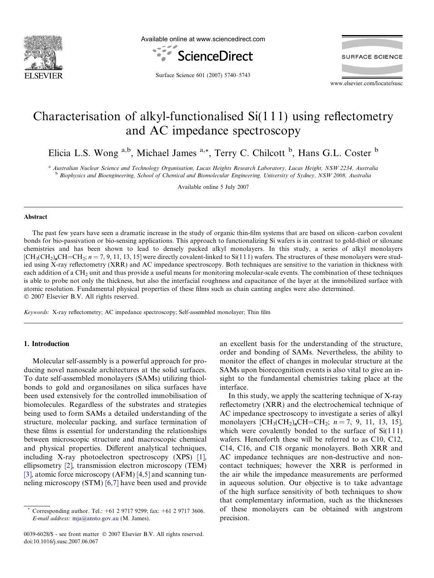

Available online at www.sciencedirect.com



**SURFACE SCIENCE** 

Surface Science 601 (2007) 5740–5743

www.elsevier.com/locate/susc

# Characterisation of alkyl-functionalised Si(1 1 1) using reflectometry and AC impedance spectroscopy

Elicia L.S. Wong <sup>a,b</sup>, Michael James <sup>a,\*</sup>, Terry C. Chilcott <sup>b</sup>, Hans G.L. Coster <sup>b</sup>

a Australian Nuclear Science and Technology Organisation, Lucas Heights Research Laboratory, Lucas Height, NSW 2234, Australia <sup>b</sup> Biophysics and Bioengineering, School of Chemical and Biomolecular Engineering, University of Sydney, NSW 2008, Australia

Available online 5 July 2007

#### Abstract

The past few years have seen a dramatic increase in the study of organic thin-film systems that are based on silicon–carbon covalent bonds for bio-passivation or bio-sensing applications. This approach to functionalizing Si wafers is in contrast to gold-thiol or siloxane chemistries and has been shown to lead to densely packed alkyl monolayers. In this study, a series of alkyl monolayers  $[CH_3(CH_2)_nCH=CH_2; n = 7, 9, 11, 13, 15]$  were directly covalent-linked to Si(111) wafers. The structures of these monolayers were studied using X-ray reflectometry (XRR) and AC impedance spectroscopy. Both techniques are sensitive to the variation in thickness with each addition of a CH<sub>2</sub> unit and thus provide a useful means for monitoring molecular-scale events. The combination of these techniques is able to probe not only the thickness, but also the interfacial roughness and capacitance of the layer at the immobilized surface with atomic resolution. Fundamental physical properties of these films such as chain canting angles were also determined. © 2007 Elsevier B.V. All rights reserved.

Keywords: X-ray reflectometry; AC impedance spectroscopy; Self-assembled monolayer; Thin film

## 1. Introduction

Molecular self-assembly is a powerful approach for producing novel nanoscale architectures at the solid surfaces. To date self-assembled monolayers (SAMs) utilizing thiolbonds to gold and organosilanes on silica surfaces have been used extensively for the controlled immobilisation of biomolecules. Regardless of the substrates and strategies being used to form SAMs a detailed understanding of the structure, molecular packing, and surface termination of these films is essential for understanding the relationships between microscopic structure and macroscopic chemical and physical properties. Different analytical techniques, including X-ray photoelectron spectroscopy (XPS) [\[1\]](#page-3-0), ellipsometry [\[2\]](#page-3-0), transmission electron microscopy (TEM) [\[3\]](#page-3-0), atomic force microscopy (AFM) [\[4,5\]](#page-3-0) and scanning tunneling microscopy (STM) [\[6,7\]](#page-3-0) have been used and provide

0039-6028/\$ - see front matter © 2007 Elsevier B.V. All rights reserved. doi:10.1016/j.susc.2007.06.067

an excellent basis for the understanding of the structure, order and bonding of SAMs. Nevertheless, the ability to monitor the effect of changes in molecular structure at the SAMs upon biorecognition events is also vital to give an insight to the fundamental chemistries taking place at the interface.

In this study, we apply the scattering technique of X-ray reflectometry (XRR) and the electrochemical technique of AC impedance spectroscopy to investigate a series of alkyl monolayers  $[CH_3(CH_2)_nCH=CH_2$ ;  $n = 7, 9, 11, 13, 15]$ , which were covalently bonded to the surface of  $Si(111)$ wafers. Henceforth these will be referred to as C10, C12, C14, C16, and C18 organic monolayers. Both XRR and AC impedance techniques are non-destructive and noncontact techniques; however the XRR is performed in the air while the impedance measurements are performed in aqueous solution. Our objective is to take advantage of the high surface sensitivity of both techniques to show that complementary information, such as the thicknesses of these monolayers can be obtained with angstrom precision.

Corresponding author. Tel.: +61 2 9717 9299; fax: +61 2 9717 3606. E-mail address: [mja@ansto.gov.au](mailto:mja@ansto.gov.au) (M. James).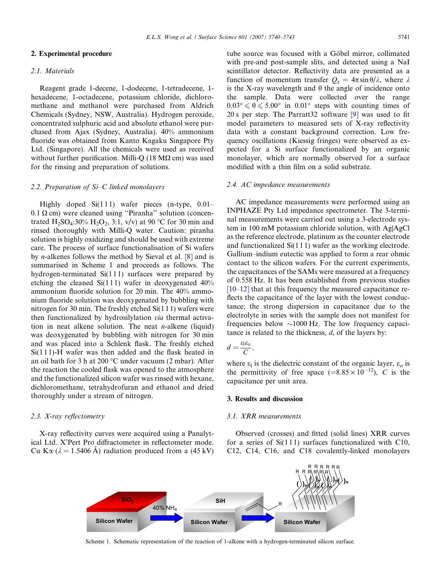#### 2. Experimental procedure

#### 2.1. Materials

Reagent grade 1-decene, 1-dodecene, 1-tetradecene, 1 hexadecene, 1-octadecene, potassium chloride, dichloromethane and methanol were purchased from Aldrich Chemicals (Sydney, NSW, Australia). Hydrogen peroxide, concentrated sulphuric acid and absolute ethanol were purchased from Ajax (Sydney, Australia). 40% ammonium fluoride was obtained from Kanto Kagaku Singapore Pty Ltd. (Singapore). All the chemicals were used as received without further purification. Milli-O (18 M $\Omega$  cm) was used for the rinsing and preparation of solutions.

#### 2.2. Preparation of Si–C linked monolayers

Highly doped  $Si(111)$  wafer pieces (n-type, 0.01–  $0.1 \Omega$  cm) were cleaned using "Piranha" solution (concentrated H<sub>2</sub>SO<sub>4</sub>:30% H<sub>2</sub>O<sub>2</sub>, 3:1, v/v) at 90 °C for 30 min and rinsed thoroughly with Milli-Q water. Caution: piranha solution is highly oxidizing and should be used with extreme care. The process of surface functionalisation of Si wafers by n-alkenes follows the method by Sieval et al. [\[8\]](#page-3-0) and is summarised in Scheme 1 and proceeds as follows. The hydrogen-terminated Si(111) surfaces were prepared by etching the cleaned  $Si(111)$  wafer in deoxygenated  $40\%$ ammonium fluoride solution for 20 min. The 40% ammonium fluoride solution was deoxygenated by bubbling with nitrogen for 30 min. The freshly etched Si(1 1 1) wafers were then functionalized by hydrosilylation via thermal activation in neat alkene solution. The neat  $n$ -alkene (liquid) was deoxygenated by bubbling with nitrogen for 30 min and was placed into a Schlenk flask. The freshly etched Si(111)-H wafer was then added and the flask heated in an oil bath for 3 h at 200  $^{\circ}$ C under vacuum (2 mbar). After the reaction the cooled flask was opened to the atmosphere and the functionalized silicon wafer was rinsed with hexane, dichloromethane, tetrahydrofuran and ethanol and dried thoroughly under a stream of nitrogen.

## 2.3. X-ray reflectometry

X-ray reflectivity curves were acquired using a Panalytical Ltd. X'Pert Pro diffractometer in reflectometer mode. Cu K $\alpha$  ( $\lambda = 1.5406$  Å) radiation produced from a (45 kV) tube source was focused with a Göbel mirror, collimated with pre-and post-sample slits, and detected using a NaI scintillator detector. Reflectivity data are presented as a function of momentum transfer  $Q_z = 4\pi \sin{\theta/\lambda}$ , where  $\lambda$ is the X-ray wavelength and  $\theta$  the angle of incidence onto the sample. Data were collected over the range  $0.03^{\circ} \le \theta \le 5.00^{\circ}$  in  $0.01^{\circ}$  steps with counting times of 20 s per step. The Parratt32 software [\[9\]](#page-3-0) was used to fit model parameters to measured sets of X-ray reflectivity data with a constant background correction. Low frequency oscillations (Kiessig fringes) were observed as expected for a Si surface functionalized by an organic monolayer, which are normally observed for a surface modified with a thin film on a solid substrate.

#### 2.4. AC impedance measurements

AC impedance measurements were performed using an INPHAZE Pty Ltd impedance spectrometer. The 3-terminal measurements were carried out using a 3-electrode system in 100 mM potassium chloride solution, with Ag|AgCl as the reference electrode, platinum as the counter electrode and functionalized Si(1 1 1) wafer as the working electrode. Gallium–indium eutectic was applied to form a rear ohmic contact to the silicon wafers. For the current experiments, the capacitances of the SAMs were measured at a frequency of 0.558 Hz. It has been established from previous studies [\[10–12\]](#page-3-0) that at this frequency the measured capacitance reflects the capacitance of the layer with the lowest conductance; the strong dispersion in capacitance due to the electrolyte in series with the sample does not manifest for frequencies below  $\sim$ 1000 Hz. The low frequency capacitance is related to the thickness, d, of the layers by:

$$
d=\frac{\varepsilon_{\rm l}\varepsilon_{\rm o}}{C},
$$

where  $\varepsilon_1$  is the dielectric constant of the organic layer,  $\varepsilon_0$  is the permittivity of free space  $(=8.85 \times 10^{-12})$ , C is the capacitance per unit area.

## 3. Results and discussion

#### 3.1. XRR measurements

Observed (crosses) and fitted (solid lines) XRR curves for a series of  $Si(111)$  surfaces functionalized with C10, C12, C14, C16, and C18 covalently-linked monolayers



Scheme 1. Schematic representation of the reaction of 1-alkene with a hydrogen-terminated silicon surface.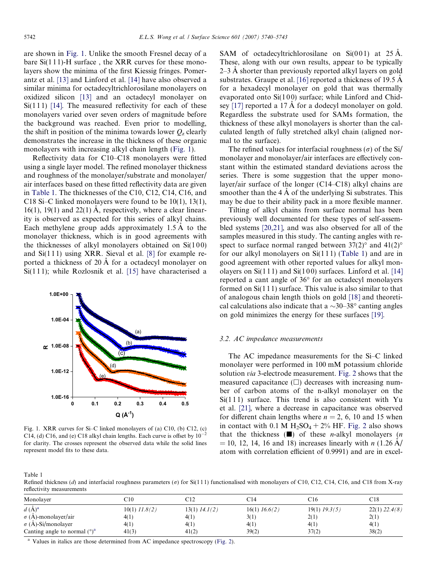<span id="page-2-0"></span>are shown in Fig. 1. Unlike the smooth Fresnel decay of a bare Si(1 1 1)-H surface , the XRR curves for these monolayers show the minima of the first Kiessig fringes. Pomerantz et al. [\[13\]](#page-3-0) and Linford et al. [\[14\]](#page-3-0) have also observed a similar minima for octadecyltrichlorosilane monolayers on oxidized silicon [\[13\]](#page-3-0) and an octadecyl monolayer on  $Si(111)$  [\[14\].](#page-3-0) The measured reflectivity for each of these monolayers varied over seven orders of magnitude before the background was reached. Even prior to modelling, the shift in position of the minima towards lower  $Q<sub>z</sub>$  clearly demonstrates the increase in the thickness of these organic monolayers with increasing alkyl chain length (Fig. 1).

Reflectivity data for C10–C18 monolayers were fitted using a single layer model. The refined monolayer thickness and roughness of the monolayer/substrate and monolayer/ air interfaces based on these fitted reflectivity data are given in Table 1. The thicknesses of the C10, C12, C14, C16, and C18 Si–C linked monolayers were found to be 10(1), 13(1), 16(1), 19(1) and 22(1)  $\dot{A}$ , respectively, where a clear linearity is observed as expected for this series of alkyl chains. Each methylene group adds approximately  $1.5 \text{ Å}$  to the monolayer thickness, which is in good agreements with the thicknesses of alkyl monolayers obtained on  $Si(100)$ and  $Si(111)$  using XRR. Sieval et al. [\[8\]](#page-3-0) for example reported a thickness of 20 Å for a octadecyl monolayer on Si(111); while Rozlosnik et al. [\[15\]](#page-3-0) have characterised a



Fig. 1. XRR curves for Si–C linked monolayers of (a) C10, (b) C12, (c) C14, (d) C16, and (e) C18 alkyl chain lengths. Each curve is offset by  $10^{-7}$ for clarity. The crosses represent the observed data while the solid lines represent model fits to these data.

SAM of octadecyltrichlorosilane on  $Si(001)$  at 25 Å. These, along with our own results, appear to be typically  $2-3$  Å shorter than previously reported alkyl layers on gold substrates. Graupe et al. [\[16\]](#page-3-0) reported a thickness of 19.5  $\AA$ for a hexadecyl monolayer on gold that was thermally evaporated onto  $Si(100)$  surface; while Linford and Chid-sey [\[17\]](#page-3-0) reported a 17  $\AA$  for a dodecyl monolayer on gold. Regardless the substrate used for SAMs formation, the thickness of these alkyl monolayers is shorter than the calculated length of fully stretched alkyl chain (aligned normal to the surface).

The refined values for interfacial roughness ( $\sigma$ ) of the Si/ monolayer and monolayer/air interfaces are effectively constant within the estimated standard deviations across the series. There is some suggestion that the upper monolayer/air surface of the longer (C14–C18) alkyl chains are smoother than the  $4 \text{ Å}$  of the underlying Si substrates. This may be due to their ability pack in a more flexible manner.

Tilting of alkyl chains from surface normal has been previously well documented for these types of self-assembled systems [\[20,21\],](#page-3-0) and was also observed for all of the samples measured in this study. The canting angles with respect to surface normal ranged between  $37(2)^\circ$  and  $41(2)^\circ$ for our alkyl monolayers on  $Si(111)$  (Table 1) and are in good agreement with other reported values for alkyl monolayers on  $Si(111)$  and  $Si(100)$  surfaces. Linford et al. [\[14\]](#page-3-0) reported a cant angle of  $36^{\circ}$  for an octadecyl monolayers formed on Si(1 1 1) surface. This value is also similar to that of analogous chain length thiols on gold [\[18\]](#page-3-0) and theoretical calculations also indicate that a  $\sim$ 30–38 $^{\circ}$  canting angles on gold minimizes the energy for these surfaces [\[19\]](#page-3-0).

## 3.2. AC impedance measurements

The AC impedance measurements for the Si–C linked monolayer were performed in 100 mM potassium chloride solution via 3-electrode measurement. [Fig. 2](#page-3-0) shows that the measured capacitance  $(\Box)$  decreases with increasing number of carbon atoms of the n-alkyl monolayer on the  $Si(111)$  surface. This trend is also consistent with Yu et al. [\[21\]](#page-3-0), where a decrease in capacitance was observed for different chain lengths where  $n = 2, 6, 10$  and 15 when in contact with 0.1 M  $H_2SO_4 + 2\%$  HF. [Fig. 2](#page-3-0) also shows that the thickness  $(\blacksquare)$  of these *n*-alkyl monolayers (*n*)  $= 10$ , 12, 14, 16 and 18) increases linearly with *n* (1.26 A) atom with correlation efficient of 0.9991) and are in excel-

Table 1

Refined thickness (d) and interfacial roughness parameters ( $\sigma$ ) for Si(111) functionalised with monolayers of C10, C12, C14, C16, and C18 from X-ray reflectivity measurements

| Monolayer                       | C10               | C12               | C14           | C16               | C18               |
|---------------------------------|-------------------|-------------------|---------------|-------------------|-------------------|
| $d \, (\AA)^a$                  | $10(1)$ $11.8(2)$ | $13(1)$ $14.1(2)$ | 16(1) 16.6(2) | $19(1)$ $19.3(5)$ | $22(1)$ $22.4(8)$ |
| $\sigma$ (A)-monolayer/air      | 4(1)              | 4(1)              | 3(1)          | 2(1)              | 2(1)              |
| $\sigma$ (A)-Si/monolayer       | 4(1)              | 4(1)              | 4(1)          | 4(1)              | 4(1)              |
| Canting angle to normal $(°)^a$ | 41(3)             | 41(2)             | 39(2)         | 37(2)             | 38(2)             |

<sup>a</sup> Values in italics are those determined from AC impedance spectroscopy ([Fig. 2\)](#page-3-0).